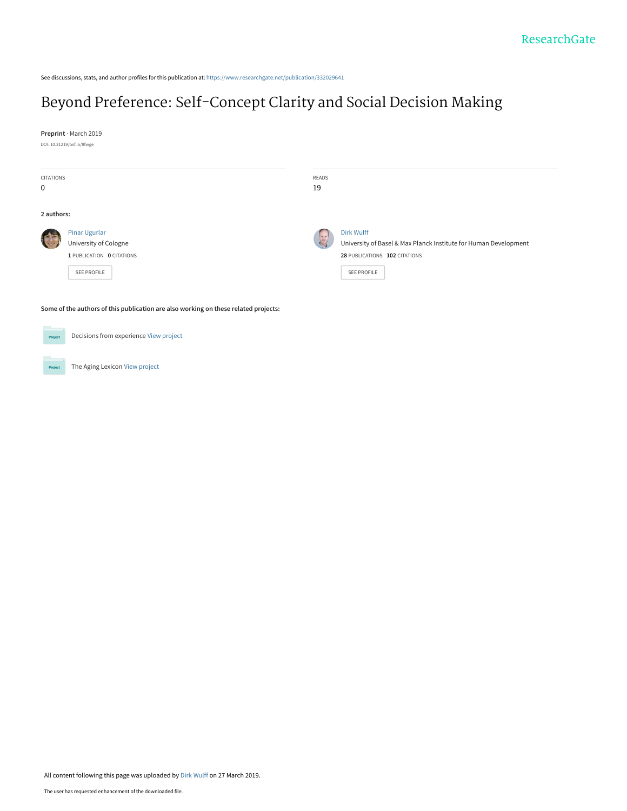See discussions, stats, and author profiles for this publication at: [https://www.researchgate.net/publication/332029641](https://www.researchgate.net/publication/332029641_Beyond_Preference_Self-Concept_Clarity_and_Social_Decision_Making?enrichId=rgreq-c62a192e056cccd095a0768a1613a863-XXX&enrichSource=Y292ZXJQYWdlOzMzMjAyOTY0MTtBUzo3NDExMDI4NjA2NDQzNjNAMTU1MzcwNDA5OTg2NA%3D%3D&el=1_x_2&_esc=publicationCoverPdf)

# [Beyond Preference: Self-Concept Clarity and Social Decision Making](https://www.researchgate.net/publication/332029641_Beyond_Preference_Self-Concept_Clarity_and_Social_Decision_Making?enrichId=rgreq-c62a192e056cccd095a0768a1613a863-XXX&enrichSource=Y292ZXJQYWdlOzMzMjAyOTY0MTtBUzo3NDExMDI4NjA2NDQzNjNAMTU1MzcwNDA5OTg2NA%3D%3D&el=1_x_3&_esc=publicationCoverPdf)

**Preprint** · March 2019

DOI: 10.31219/osf.io/8fwge

Project

| CITATIONS<br>0                                                                      |                                                                                    | READS<br>19    |                                                                                                                                |
|-------------------------------------------------------------------------------------|------------------------------------------------------------------------------------|----------------|--------------------------------------------------------------------------------------------------------------------------------|
| 2 authors:                                                                          |                                                                                    |                |                                                                                                                                |
|                                                                                     | Pinar Ugurlar<br>University of Cologne<br>1 PUBLICATION 0 CITATIONS<br>SEE PROFILE | $\overline{z}$ | Dirk Wulff<br>University of Basel & Max Planck Institute for Human Development<br>28 PUBLICATIONS 102 CITATIONS<br>SEE PROFILE |
| Some of the authors of this publication are also working on these related projects: |                                                                                    |                |                                                                                                                                |
| Project                                                                             | Decisions from experience View project                                             |                |                                                                                                                                |

The Aging Lexicon [View project](https://www.researchgate.net/project/The-Aging-Lexicon?enrichId=rgreq-c62a192e056cccd095a0768a1613a863-XXX&enrichSource=Y292ZXJQYWdlOzMzMjAyOTY0MTtBUzo3NDExMDI4NjA2NDQzNjNAMTU1MzcwNDA5OTg2NA%3D%3D&el=1_x_9&_esc=publicationCoverPdf)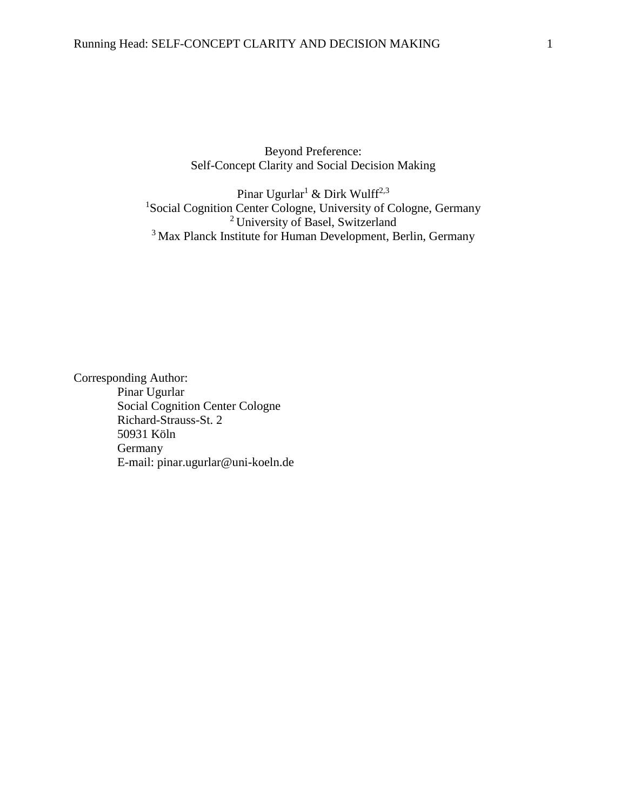Beyond Preference: Self-Concept Clarity and Social Decision Making

Pinar Ugurlar<br/> $^1$  & Dirk Wulff $^{2,3}$ <sup>1</sup>Social Cognition Center Cologne, University of Cologne, Germany <sup>2</sup> University of Basel, Switzerland <sup>3</sup> Max Planck Institute for Human Development, Berlin, Germany

Corresponding Author: Pinar Ugurlar Social Cognition Center Cologne Richard-Strauss-St. 2 50931 Köln Germany E-mail: pinar.ugurlar@uni-koeln.de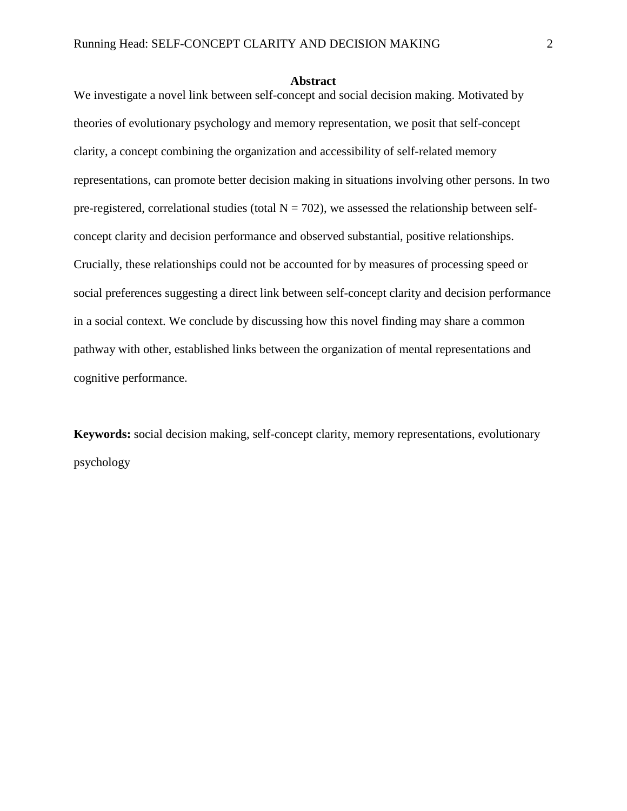#### **Abstract**

We investigate a novel link between self-concept and social decision making. Motivated by theories of evolutionary psychology and memory representation, we posit that self-concept clarity, a concept combining the organization and accessibility of self-related memory representations, can promote better decision making in situations involving other persons. In two pre-registered, correlational studies (total  $N = 702$ ), we assessed the relationship between selfconcept clarity and decision performance and observed substantial, positive relationships. Crucially, these relationships could not be accounted for by measures of processing speed or social preferences suggesting a direct link between self-concept clarity and decision performance in a social context. We conclude by discussing how this novel finding may share a common pathway with other, established links between the organization of mental representations and cognitive performance.

**Keywords:** social decision making, self-concept clarity, memory representations, evolutionary psychology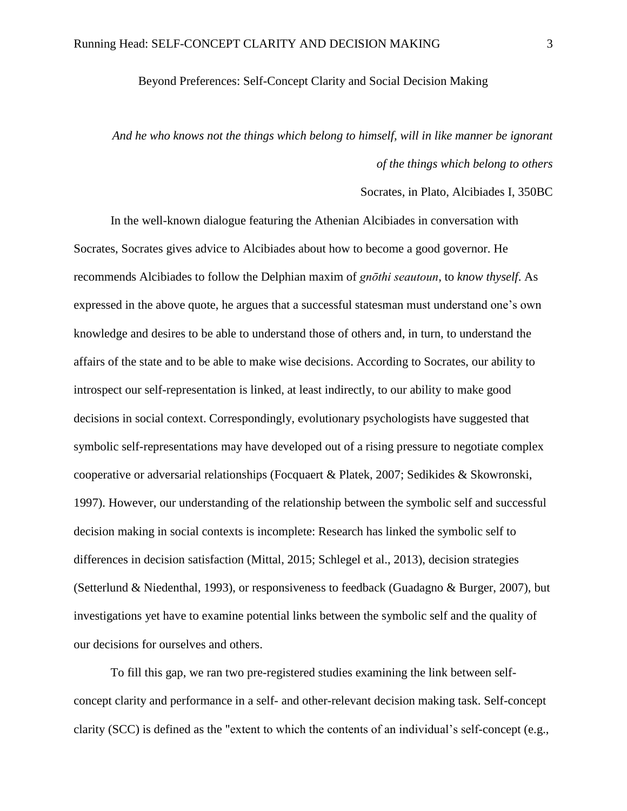## Beyond Preferences: Self-Concept Clarity and Social Decision Making

# *And he who knows not the things which belong to himself, will in like manner be ignorant of the things which belong to others*

### Socrates, in Plato, Alcibiades I, 350BC

In the well-known dialogue featuring the Athenian Alcibiades in conversation with Socrates, Socrates gives advice to Alcibiades about how to become a good governor. He recommends Alcibiades to follow the Delphian maxim of *gnōthi seautoun*, to *know thyself*. As expressed in the above quote, he argues that a successful statesman must understand one's own knowledge and desires to be able to understand those of others and, in turn, to understand the affairs of the state and to be able to make wise decisions. According to Socrates, our ability to introspect our self-representation is linked, at least indirectly, to our ability to make good decisions in social context. Correspondingly, evolutionary psychologists have suggested that symbolic self-representations may have developed out of a rising pressure to negotiate complex cooperative or adversarial relationships (Focquaert & Platek, 2007; Sedikides & Skowronski, 1997). However, our understanding of the relationship between the symbolic self and successful decision making in social contexts is incomplete: Research has linked the symbolic self to differences in decision satisfaction (Mittal, 2015; Schlegel et al., 2013), decision strategies (Setterlund & Niedenthal, 1993), or responsiveness to feedback (Guadagno & Burger, 2007), but investigations yet have to examine potential links between the symbolic self and the quality of our decisions for ourselves and others.

To fill this gap, we ran two pre-registered studies examining the link between selfconcept clarity and performance in a self- and other-relevant decision making task. Self-concept clarity (SCC) is defined as the "extent to which the contents of an individual's self-concept (e.g.,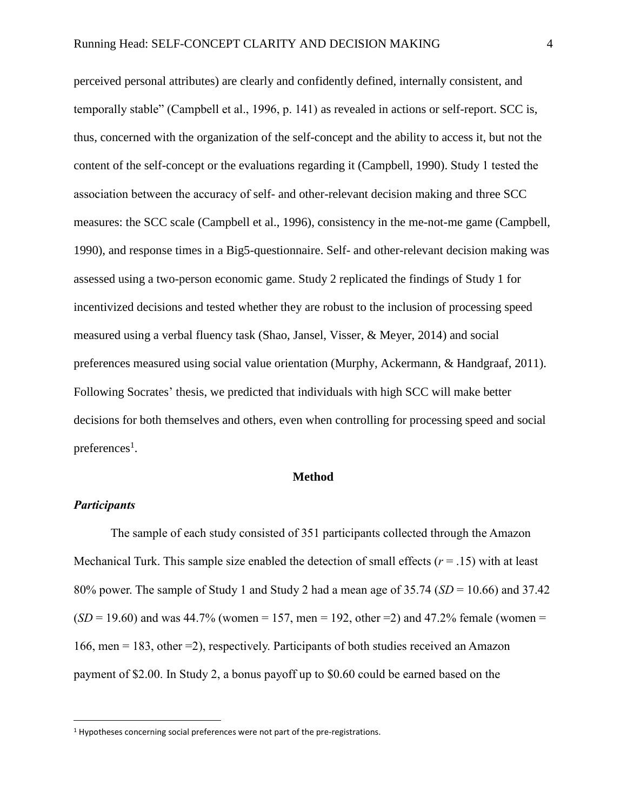perceived personal attributes) are clearly and confidently defined, internally consistent, and temporally stable" (Campbell et al., 1996, p. 141) as revealed in actions or self-report. SCC is, thus, concerned with the organization of the self-concept and the ability to access it, but not the content of the self-concept or the evaluations regarding it (Campbell, 1990). Study 1 tested the association between the accuracy of self- and other-relevant decision making and three SCC measures: the SCC scale (Campbell et al., 1996), consistency in the me-not-me game (Campbell, 1990), and response times in a Big5-questionnaire. Self- and other-relevant decision making was assessed using a two-person economic game. Study 2 replicated the findings of Study 1 for incentivized decisions and tested whether they are robust to the inclusion of processing speed measured using a verbal fluency task (Shao, Jansel, Visser, & Meyer, 2014) and social preferences measured using social value orientation (Murphy, Ackermann, & Handgraaf, 2011). Following Socrates' thesis, we predicted that individuals with high SCC will make better decisions for both themselves and others, even when controlling for processing speed and social preferences<sup>1</sup>.

## **Method**

## *Participants*

 $\overline{a}$ 

The sample of each study consisted of 351 participants collected through the Amazon Mechanical Turk. This sample size enabled the detection of small effects (*r* = .15) with at least 80% power. The sample of Study 1 and Study 2 had a mean age of 35.74 (*SD* = 10.66) and 37.42  $(SD = 19.60)$  and was 44.7% (women = 157, men = 192, other = 2) and 47.2% female (women = 166, men = 183, other =2), respectively. Participants of both studies received an Amazon payment of \$2.00. In Study 2, a bonus payoff up to \$0.60 could be earned based on the

<sup>&</sup>lt;sup>1</sup> Hypotheses concerning social preferences were not part of the pre-registrations.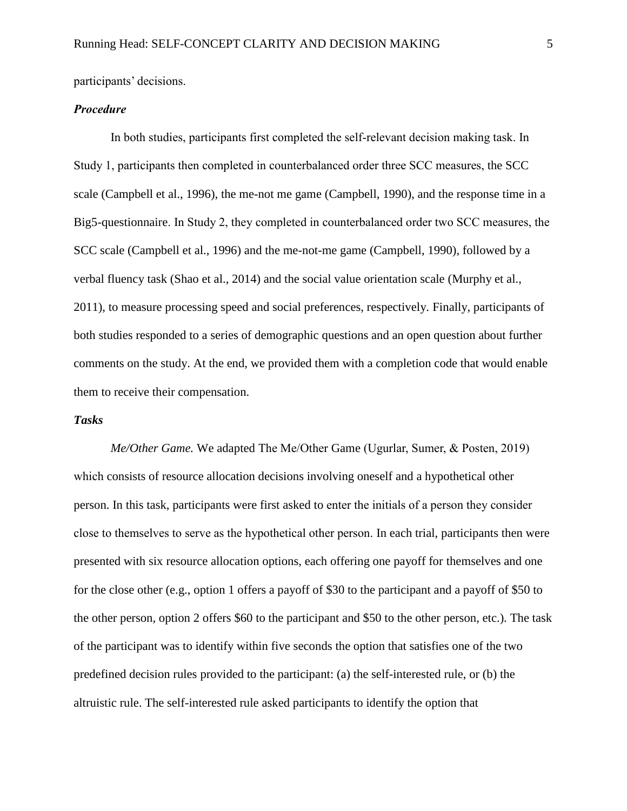participants' decisions.

# *Procedure*

In both studies, participants first completed the self-relevant decision making task. In Study 1, participants then completed in counterbalanced order three SCC measures, the SCC scale (Campbell et al., 1996), the me-not me game (Campbell, 1990), and the response time in a Big5-questionnaire. In Study 2, they completed in counterbalanced order two SCC measures, the SCC scale (Campbell et al., 1996) and the me-not-me game (Campbell, 1990), followed by a verbal fluency task (Shao et al., 2014) and the social value orientation scale (Murphy et al., 2011), to measure processing speed and social preferences, respectively. Finally, participants of both studies responded to a series of demographic questions and an open question about further comments on the study. At the end, we provided them with a completion code that would enable them to receive their compensation.

## *Tasks*

*Me/Other Game.* We adapted The Me/Other Game (Ugurlar, Sumer, & Posten, 2019) which consists of resource allocation decisions involving oneself and a hypothetical other person. In this task, participants were first asked to enter the initials of a person they consider close to themselves to serve as the hypothetical other person. In each trial, participants then were presented with six resource allocation options, each offering one payoff for themselves and one for the close other (e.g., option 1 offers a payoff of \$30 to the participant and a payoff of \$50 to the other person, option 2 offers \$60 to the participant and \$50 to the other person, etc.). The task of the participant was to identify within five seconds the option that satisfies one of the two predefined decision rules provided to the participant: (a) the self-interested rule, or (b) the altruistic rule. The self-interested rule asked participants to identify the option that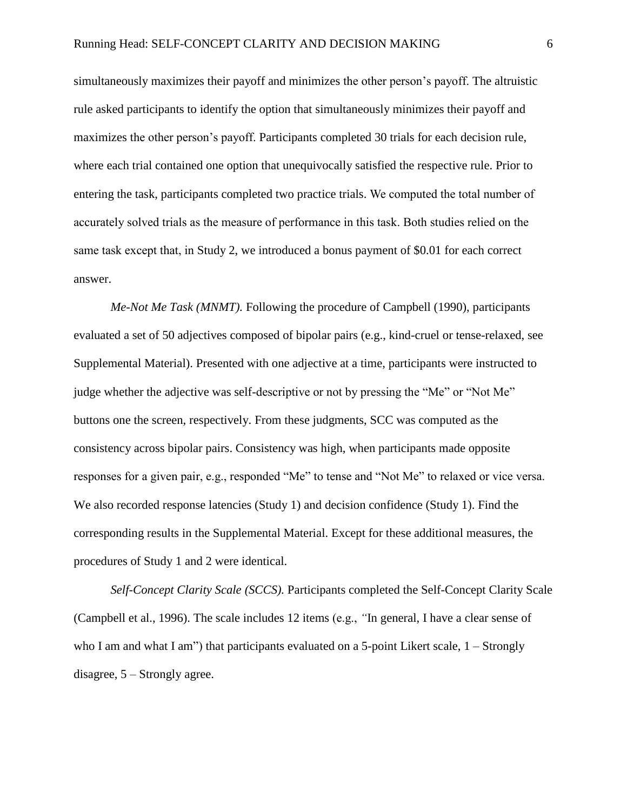simultaneously maximizes their payoff and minimizes the other person's payoff. The altruistic rule asked participants to identify the option that simultaneously minimizes their payoff and maximizes the other person's payoff. Participants completed 30 trials for each decision rule, where each trial contained one option that unequivocally satisfied the respective rule. Prior to entering the task, participants completed two practice trials. We computed the total number of accurately solved trials as the measure of performance in this task. Both studies relied on the same task except that, in Study 2, we introduced a bonus payment of \$0.01 for each correct answer.

*Me-Not Me Task (MNMT).* Following the procedure of Campbell (1990), participants evaluated a set of 50 adjectives composed of bipolar pairs (e.g., kind-cruel or tense-relaxed, see Supplemental Material). Presented with one adjective at a time, participants were instructed to judge whether the adjective was self-descriptive or not by pressing the "Me" or "Not Me" buttons one the screen, respectively. From these judgments, SCC was computed as the consistency across bipolar pairs. Consistency was high, when participants made opposite responses for a given pair, e.g., responded "Me" to tense and "Not Me" to relaxed or vice versa. We also recorded response latencies (Study 1) and decision confidence (Study 1). Find the corresponding results in the Supplemental Material. Except for these additional measures, the procedures of Study 1 and 2 were identical.

*Self-Concept Clarity Scale (SCCS).* Participants completed the Self-Concept Clarity Scale (Campbell et al., 1996). The scale includes 12 items (e.g., *"*In general, I have a clear sense of who I am and what I am") that participants evaluated on a 5-point Likert scale,  $1 -$ Strongly disagree, 5 – Strongly agree.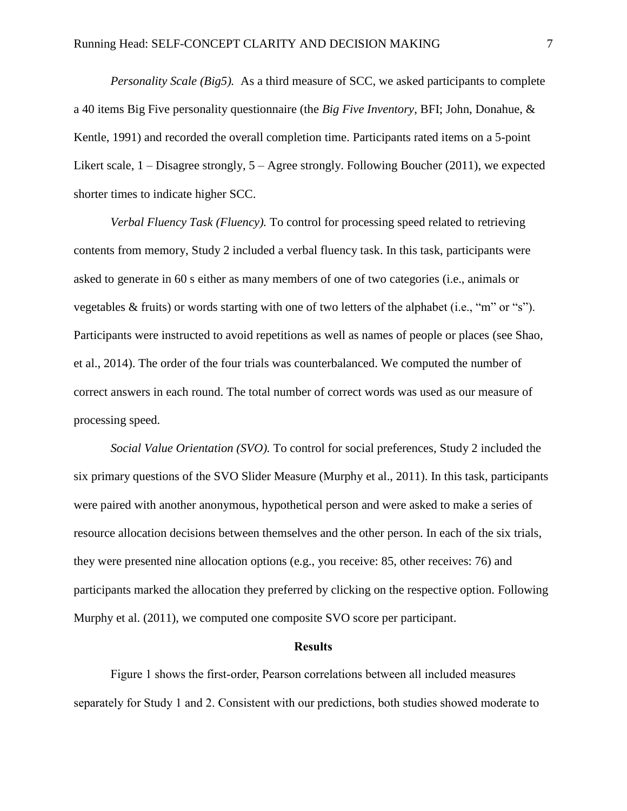*Personality Scale (Big5).* As a third measure of SCC, we asked participants to complete a 40 items Big Five personality questionnaire (the *Big Five Inventory*, BFI; John, Donahue, & Kentle, 1991) and recorded the overall completion time. Participants rated items on a 5-point Likert scale, 1 – Disagree strongly, 5 – Agree strongly. Following Boucher (2011), we expected shorter times to indicate higher SCC.

*Verbal Fluency Task (Fluency).* To control for processing speed related to retrieving contents from memory, Study 2 included a verbal fluency task. In this task, participants were asked to generate in 60 s either as many members of one of two categories (i.e., animals or vegetables & fruits) or words starting with one of two letters of the alphabet (i.e., "m" or "s"). Participants were instructed to avoid repetitions as well as names of people or places (see Shao, et al., 2014). The order of the four trials was counterbalanced. We computed the number of correct answers in each round. The total number of correct words was used as our measure of processing speed.

*Social Value Orientation (SVO).* To control for social preferences, Study 2 included the six primary questions of the SVO Slider Measure (Murphy et al., 2011). In this task, participants were paired with another anonymous, hypothetical person and were asked to make a series of resource allocation decisions between themselves and the other person. In each of the six trials, they were presented nine allocation options (e.g., you receive: 85, other receives: 76) and participants marked the allocation they preferred by clicking on the respective option. Following Murphy et al. (2011), we computed one composite SVO score per participant.

## **Results**

Figure 1 shows the first-order, Pearson correlations between all included measures separately for Study 1 and 2. Consistent with our predictions, both studies showed moderate to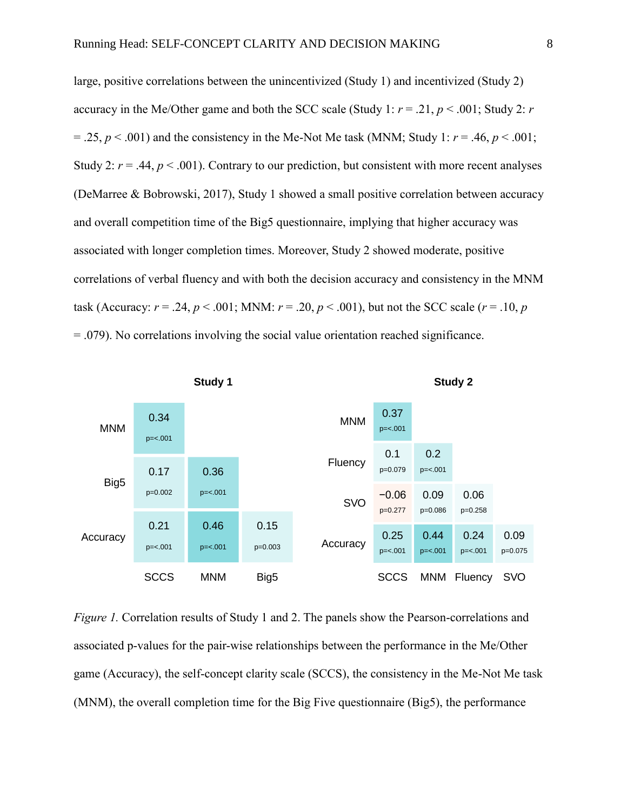large, positive correlations between the unincentivized (Study 1) and incentivized (Study 2) accuracy in the Me/Other game and both the SCC scale (Study 1:  $r = .21$ ,  $p < .001$ ; Study 2: *r*  $= .25, p < .001$ ) and the consistency in the Me-Not Me task (MNM; Study 1:  $r = .46, p < .001$ ; Study 2:  $r = .44$ ,  $p < .001$ ). Contrary to our prediction, but consistent with more recent analyses (DeMarree & Bobrowski, 2017), Study 1 showed a small positive correlation between accuracy and overall competition time of the Big5 questionnaire, implying that higher accuracy was associated with longer completion times. Moreover, Study 2 showed moderate, positive correlations of verbal fluency and with both the decision accuracy and consistency in the MNM task (Accuracy:  $r = .24$ ,  $p < .001$ ; MNM:  $r = .20$ ,  $p < .001$ ), but not the SCC scale ( $r = .10$ ,  $p$ )  $= .079$ ). No correlations involving the social value orientation reached significance.



*Figure 1.* Correlation results of Study 1 and 2. The panels show the Pearson-correlations and associated p-values for the pair-wise relationships between the performance in the Me/Other game (Accuracy), the self-concept clarity scale (SCCS), the consistency in the Me-Not Me task (MNM), the overall completion time for the Big Five questionnaire (Big5), the performance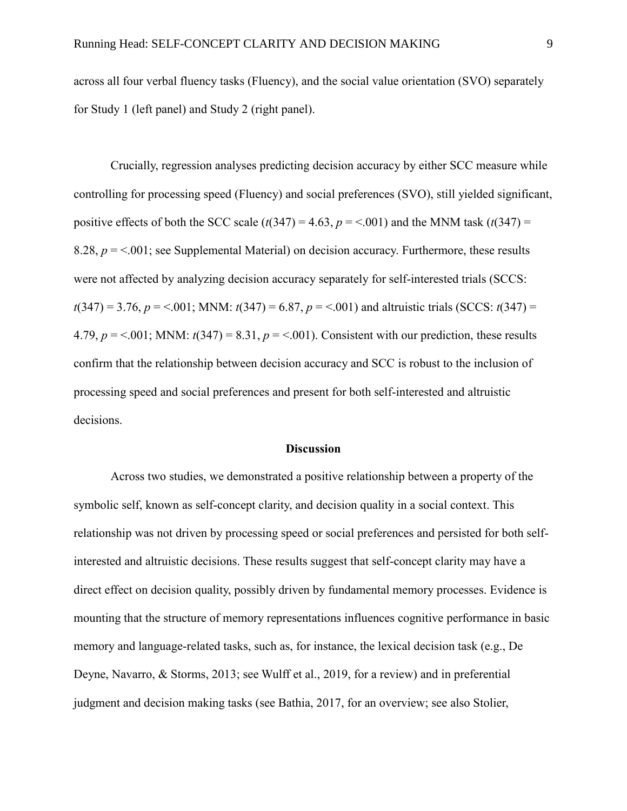across all four verbal fluency tasks (Fluency), and the social value orientation (SVO) separately for Study 1 (left panel) and Study 2 (right panel).

Crucially, regression analyses predicting decision accuracy by either SCC measure while controlling for processing speed (Fluency) and social preferences (SVO), still yielded significant, positive effects of both the SCC scale  $(t(347) = 4.63, p = 5.001)$  and the MNM task  $(t(347) =$ 8.28,  $p = 5.001$ ; see Supplemental Material) on decision accuracy. Furthermore, these results were not affected by analyzing decision accuracy separately for self-interested trials (SCCS:  $t(347) = 3.76$ ,  $p = 5.001$ ; MNM:  $t(347) = 6.87$ ,  $p = 5.001$ ) and altruistic trials (SCCS:  $t(347) =$ 4.79,  $p = 0.001$ ; MNM:  $t(347) = 8.31$ ,  $p = 0.001$ ). Consistent with our prediction, these results confirm that the relationship between decision accuracy and SCC is robust to the inclusion of processing speed and social preferences and present for both self-interested and altruistic decisions.

### **Discussion**

Across two studies, we demonstrated a positive relationship between a property of the symbolic self, known as self-concept clarity, and decision quality in a social context. This relationship was not driven by processing speed or social preferences and persisted for both selfinterested and altruistic decisions. These results suggest that self-concept clarity may have a direct effect on decision quality, possibly driven by fundamental memory processes. Evidence is mounting that the structure of memory representations influences cognitive performance in basic memory and language-related tasks, such as, for instance, the lexical decision task (e.g., De Deyne, Navarro, & Storms, 2013; see Wulff et al., 2019, for a review) and in preferential judgment and decision making tasks (see Bathia, 2017, for an overview; see also Stolier,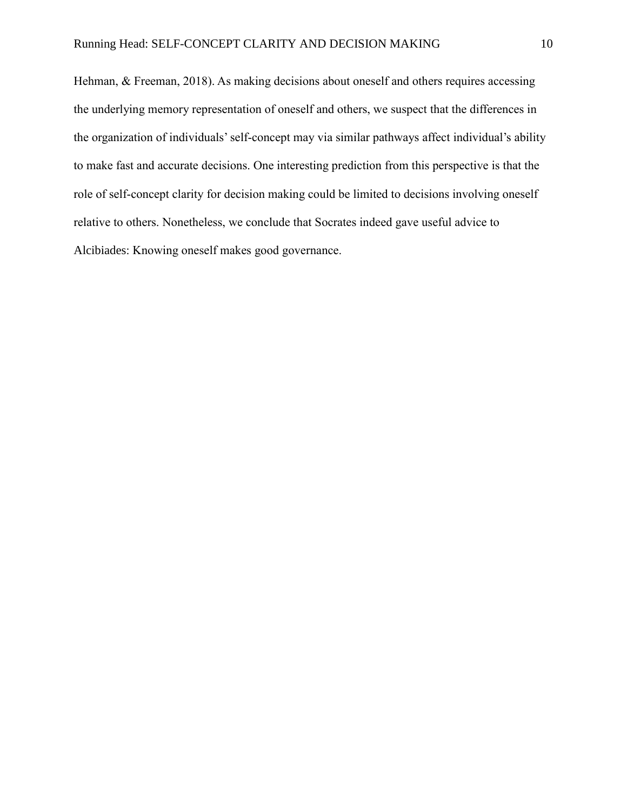Hehman, & Freeman, 2018). As making decisions about oneself and others requires accessing the underlying memory representation of oneself and others, we suspect that the differences in the organization of individuals' self-concept may via similar pathways affect individual's ability to make fast and accurate decisions. One interesting prediction from this perspective is that the role of self-concept clarity for decision making could be limited to decisions involving oneself relative to others. Nonetheless, we conclude that Socrates indeed gave useful advice to Alcibiades: Knowing oneself makes good governance.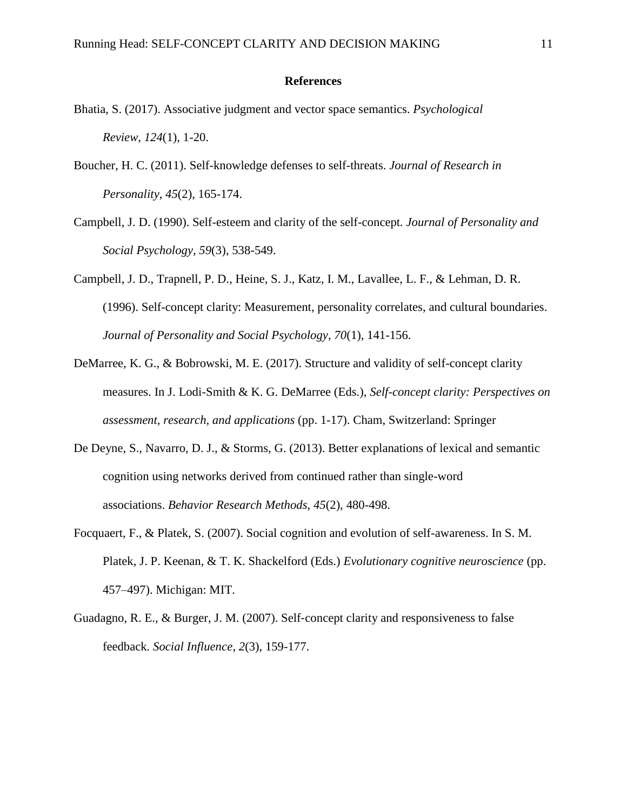## **References**

- Bhatia, S. (2017). Associative judgment and vector space semantics. *Psychological Review*, *124*(1), 1-20.
- Boucher, H. C. (2011). Self-knowledge defenses to self-threats. *Journal of Research in Personality*, *45*(2), 165-174.
- Campbell, J. D. (1990). Self-esteem and clarity of the self-concept*. Journal of Personality and Social Psychology, 59*(3), 538-549.
- Campbell, J. D., Trapnell, P. D., Heine, S. J., Katz, I. M., Lavallee, L. F., & Lehman, D. R. (1996). Self-concept clarity: Measurement, personality correlates, and cultural boundaries. *Journal of Personality and Social Psychology, 70*(1), 141-156.
- DeMarree, K. G., & Bobrowski, M. E. (2017). Structure and validity of self-concept clarity measures. In J. Lodi-Smith & K. G. DeMarree (Eds.), *Self-concept clarity: Perspectives on assessment, research, and applications* (pp. 1-17). Cham, Switzerland: Springer
- De Deyne, S., Navarro, D. J., & Storms, G. (2013). Better explanations of lexical and semantic cognition using networks derived from continued rather than single-word associations. *Behavior Research Methods*, *45*(2), 480-498.
- Focquaert, F., & Platek, S. (2007). Social cognition and evolution of self-awareness. In S. M. Platek, J. P. Keenan, & T. K. Shackelford (Eds.) *Evolutionary cognitive neuroscience* (pp. 457–497). Michigan: MIT.
- Guadagno, R. E., & Burger, J. M. (2007). Self‐concept clarity and responsiveness to false feedback*. Social Influence*, *2*(3), 159-177.